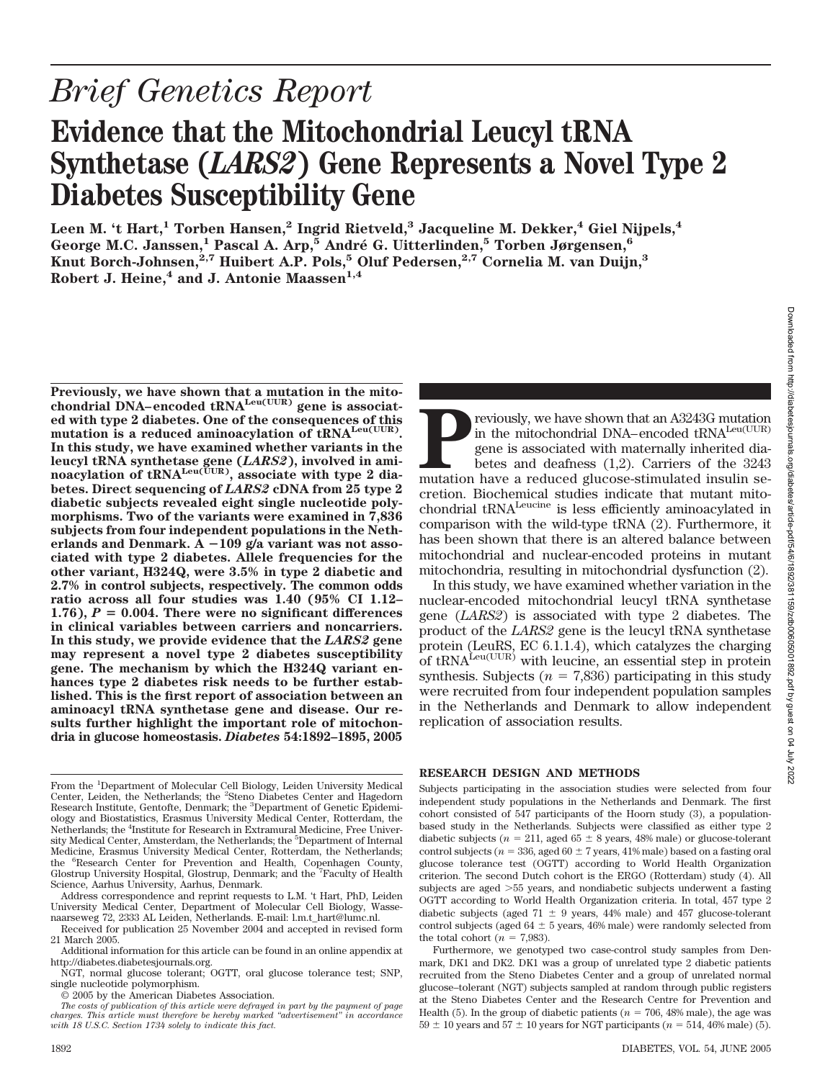# *Brief Genetics Report*

## **Evidence that the Mitochondrial Leucyl tRNA Synthetase (***LARS2***) Gene Represents a Novel Type 2 Diabetes Susceptibility Gene**

Leen M. 't Hart,<sup>1</sup> Torben Hansen,<sup>2</sup> Ingrid Rietveld,<sup>3</sup> Jacqueline M. Dekker,<sup>4</sup> Giel Nijpels,<sup>4</sup> **George M.C. Janssen,1 Pascal A. Arp,5 Andre´ G. Uitterlinden,5 Torben Jørgensen,6 Knut Borch-Johnsen,2,7 Huibert A.P. Pols,5 Oluf Pedersen,2,7 Cornelia M. van Duijn,3**  $R$ obert J. Heine,<sup>4</sup> and J. Antonie Maassen<sup>1,4</sup>

**Previously, we have shown that a mutation in the mitochondrial DNA–encoded tRNALeu(UUR) gene is associated with type 2 diabetes. One of the consequences of this** mutation is a reduced aminoacylation of tRNA<sup>Leu(UUR)</sup>. **In this study, we have examined whether variants in the leucyl tRNA synthetase gene (***LARS2***), involved in aminoacylation of tRNALeu(UUR), associate with type 2 diabetes. Direct sequencing of** *LARS2* **cDNA from 25 type 2 diabetic subjects revealed eight single nucleotide polymorphisms. Two of the variants were examined in 7,836 subjects from four independent populations in the Netherlands and Denmark. A 109 g/a variant was not associated with type 2 diabetes. Allele frequencies for the other variant, H324Q, were 3.5% in type 2 diabetic and 2.7% in control subjects, respectively. The common odds ratio across all four studies was 1.40 (95% CI 1.12–**  $1.76$ ),  $P = 0.004$ . There were no significant differences **in clinical variables between carriers and noncarriers. In this study, we provide evidence that the** *LARS2* **gene may represent a novel type 2 diabetes susceptibility gene. The mechanism by which the H324Q variant enhances type 2 diabetes risk needs to be further established. This is the first report of association between an aminoacyl tRNA synthetase gene and disease. Our results further highlight the important role of mitochondria in glucose homeostasis.** *Diabetes* **54:1892–1895, 2005**

Address correspondence and reprint requests to L.M. 't Hart, PhD, Leiden University Medical Center, Department of Molecular Cell Biology, Wassenaarseweg 72, 2333 AL Leiden, Netherlands. E-mail: l.m.t\_hart@lumc.nl.

**Previously, we have shown that an A3243G mutation** in the mitochondrial DNA–encoded tRNA<sup>Leu(UUR)</sup> gene is associated with maternally inherited diabetes and deafness (1,2). Carriers of the 3243 mutation have a reduced glu in the mitochondrial DNA–encoded tRNA<sup>Leu(UUR)</sup> gene is associated with maternally inherited diabetes and deafness (1,2). Carriers of the 3243 mutation have a reduced glucose-stimulated insulin secretion. Biochemical studies indicate that mutant mitochondrial tRNA<sup>Leucine</sup> is less efficiently aminoacylated in comparison with the wild-type tRNA (2). Furthermore, it has been shown that there is an altered balance between mitochondrial and nuclear-encoded proteins in mutant mitochondria, resulting in mitochondrial dysfunction (2).

In this study, we have examined whether variation in the nuclear-encoded mitochondrial leucyl tRNA synthetase gene (*LARS2*) is associated with type 2 diabetes. The product of the *LARS2* gene is the leucyl tRNA synthetase protein (LeuRS, EC 6.1.1.4), which catalyzes the charging of  $tRNA^{\text{Leu(UUR)}}$  with leucine, an essential step in protein synthesis. Subjects ( $n = 7,836$ ) participating in this study were recruited from four independent population samples in the Netherlands and Denmark to allow independent replication of association results.

#### **RESEARCH DESIGN AND METHODS**

Subjects participating in the association studies were selected from four independent study populations in the Netherlands and Denmark. The first cohort consisted of 547 participants of the Hoorn study (3), a populationbased study in the Netherlands. Subjects were classified as either type 2 diabetic subjects ( $n = 211$ , aged 65  $\pm$  8 years, 48% male) or glucose-tolerant control subjects ( $n = 336$ , aged  $60 \pm 7$  years, 41% male) based on a fasting oral glucose tolerance test (OGTT) according to World Health Organization criterion. The second Dutch cohort is the ERGO (Rotterdam) study (4). All subjects are aged 55 years, and nondiabetic subjects underwent a fasting OGTT according to World Health Organization criteria. In total, 457 type 2 diabetic subjects (aged  $71 \pm 9$  years, 44% male) and 457 glucose-tolerant control subjects (aged  $64 \pm 5$  years, 46% male) were randomly selected from the total cohort  $(n = 7.983)$ .

Furthermore, we genotyped two case-control study samples from Denmark, DK1 and DK2. DK1 was a group of unrelated type 2 diabetic patients recruited from the Steno Diabetes Center and a group of unrelated normal glucose–tolerant (NGT) subjects sampled at random through public registers at the Steno Diabetes Center and the Research Centre for Prevention and Health (5). In the group of diabetic patients ( $n = 706$ , 48% male), the age was  $59 \pm 10$  years and  $57 \pm 10$  years for NGT participants ( $n = 514,46\%$  male) (5).

From the <sup>1</sup>Department of Molecular Cell Biology, Leiden University Medical Center, Leiden, the Netherlands; the <sup>2</sup>Steno Diabetes Center and Hagedorn Research Institute, Gentofte, Denmark; the <sup>3</sup>Department of Genetic Epidemiology and Biostatistics, Erasmus University Medical Center, Rotterdam, the Netherlands; the <sup>4</sup>Institute for Research in Extramural Medicine, Free University Medical Center, Amsterdam, the Netherlands; the <sup>5</sup>Department of Internal Medicine, Erasmus University Medical Center, Rotterdam, the Netherlands; the <sup>6</sup>Research Center for Prevention and Health, Copenhagen County, Glostrup University Hospital, Glostrup, Denmark; and the <sup>7</sup>Faculty of Health Science, Aarhus University, Aarhus, Denmark.

Received for publication 25 November 2004 and accepted in revised form 21 March 2005.

Additional information for this article can be found in an online appendix at http://diabetes.diabetesjournals.org.

NGT, normal glucose tolerant; OGTT, oral glucose tolerance test; SNP, single nucleotide polymorphism.

<sup>© 2005</sup> by the American Diabetes Association.

*The costs of publication of this article were defrayed in part by the payment of page charges. This article must therefore be hereby marked "advertisement" in accordance with 18 U.S.C. Section 1734 solely to indicate this fact.*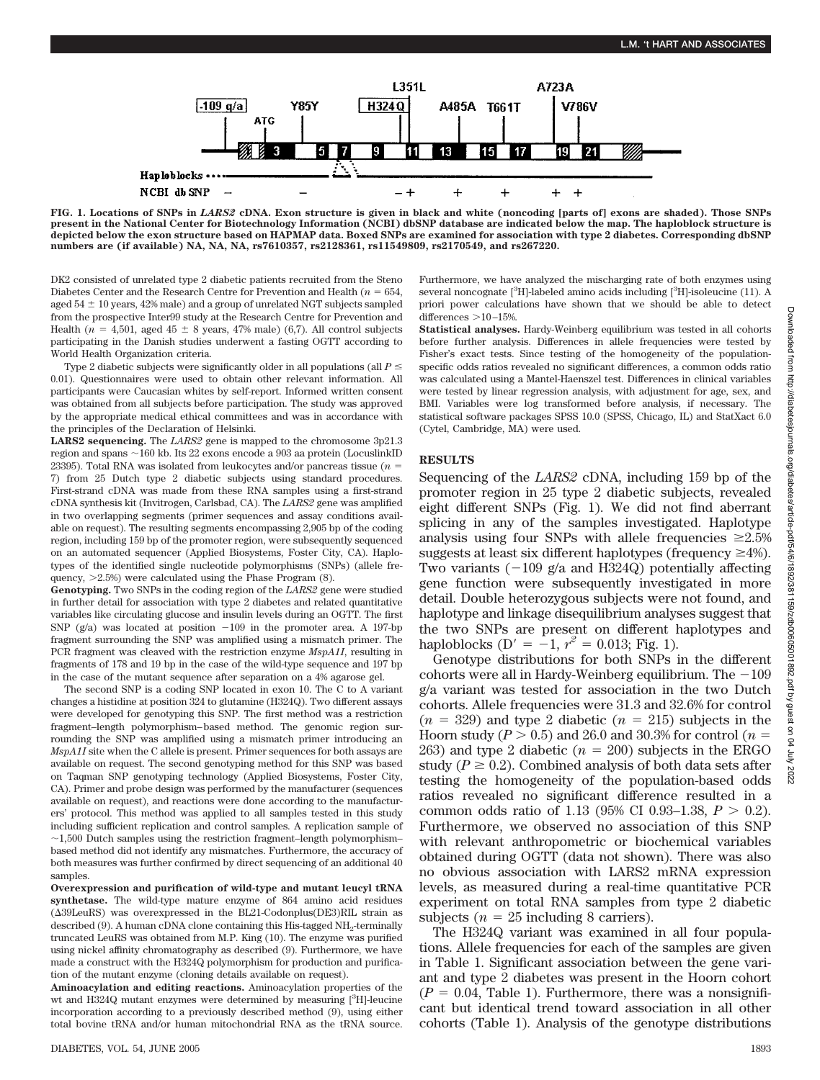

**FIG. 1. Locations of SNPs in** *LARS2* **cDNA. Exon structure is given in black and white (noncoding [parts of] exons are shaded). Those SNPs present in the National Center for Biotechnology Information (NCBI) dbSNP database are indicated below the map. The haploblock structure is depicted below the exon structure based on HAPMAP data. Boxed SNPs are examined for association with type 2 diabetes. Corresponding dbSNP numbers are (if available) NA, NA, NA, rs7610357, rs2128361, rs11549809, rs2170549, and rs267220.**

DK2 consisted of unrelated type 2 diabetic patients recruited from the Steno Diabetes Center and the Research Centre for Prevention and Health  $(n = 654, ...)$ aged  $54 \pm 10$  years,  $42\%$  male) and a group of unrelated NGT subjects sampled from the prospective Inter99 study at the Research Centre for Prevention and Health ( $n = 4,501$ , aged  $45 \pm 8$  years, 47% male) (6,7). All control subjects participating in the Danish studies underwent a fasting OGTT according to World Health Organization criteria.

Type 2 diabetic subjects were significantly older in all populations (all  $P \leq$ 0.01). Questionnaires were used to obtain other relevant information. All participants were Caucasian whites by self-report. Informed written consent was obtained from all subjects before participation. The study was approved by the appropriate medical ethical committees and was in accordance with the principles of the Declaration of Helsinki.

**LARS2 sequencing.** The *LARS2* gene is mapped to the chromosome 3p21.3 region and spans  $\sim$  160 kb. Its 22 exons encode a 903 aa protein (LocuslinkID 23395). Total RNA was isolated from leukocytes and/or pancreas tissue (*n* 7) from 25 Dutch type 2 diabetic subjects using standard procedures. First-strand cDNA was made from these RNA samples using a first-strand cDNA synthesis kit (Invitrogen, Carlsbad, CA). The *LARS2* gene was amplified in two overlapping segments (primer sequences and assay conditions available on request). The resulting segments encompassing 2,905 bp of the coding region, including 159 bp of the promoter region, were subsequently sequenced on an automated sequencer (Applied Biosystems, Foster City, CA). Haplotypes of the identified single nucleotide polymorphisms (SNPs) (allele frequency, 2.5%) were calculated using the Phase Program (8).

**Genotyping.** Two SNPs in the coding region of the *LARS2* gene were studied in further detail for association with type 2 diabetes and related quantitative variables like circulating glucose and insulin levels during an OGTT. The first SNP  $(g/a)$  was located at position  $-109$  in the promoter area. A 197-bp fragment surrounding the SNP was amplified using a mismatch primer. The PCR fragment was cleaved with the restriction enzyme *MspA1I*, resulting in fragments of 178 and 19 bp in the case of the wild-type sequence and 197 bp in the case of the mutant sequence after separation on a 4% agarose gel.

The second SNP is a coding SNP located in exon 10. The C to A variant changes a histidine at position 324 to glutamine (H324Q). Two different assays were developed for genotyping this SNP. The first method was a restriction fragment–length polymorphism–based method. The genomic region surrounding the SNP was amplified using a mismatch primer introducing an *MspA1I* site when the C allele is present. Primer sequences for both assays are available on request. The second genotyping method for this SNP was based on Taqman SNP genotyping technology (Applied Biosystems, Foster City, CA). Primer and probe design was performed by the manufacturer (sequences available on request), and reactions were done according to the manufacturers' protocol. This method was applied to all samples tested in this study including sufficient replication and control samples. A replication sample of  $\sim$ 1,500 Dutch samples using the restriction fragment–length polymorphism– based method did not identify any mismatches. Furthermore, the accuracy of both measures was further confirmed by direct sequencing of an additional 40 samples.

**Overexpression and purification of wild-type and mutant leucyl tRNA synthetase.** The wild-type mature enzyme of 864 amino acid residues (39LeuRS) was overexpressed in the BL21-Codonplus(DE3)RIL strain as described (9). A human cDNA clone containing this His-tagged  $NH<sub>2</sub>$ -terminally truncated LeuRS was obtained from M.P. King (10). The enzyme was purified using nickel affinity chromatography as described (9). Furthermore, we have made a construct with the H324Q polymorphism for production and purification of the mutant enzyme (cloning details available on request).

**Aminoacylation and editing reactions.** Aminoacylation properties of the wt and H324Q mutant enzymes were determined by measuring [<sup>3</sup>H]-leucine incorporation according to a previously described method (9), using either total bovine tRNA and/or human mitochondrial RNA as the tRNA source.

Furthermore, we have analyzed the mischarging rate of both enzymes using several noncognate [<sup>3</sup>H]-labeled amino acids including [<sup>3</sup>H]-isoleucine (11). A priori power calculations have shown that we should be able to detect differences  $>$ 10–15%.

**Statistical analyses.** Hardy-Weinberg equilibrium was tested in all cohorts before further analysis. Differences in allele frequencies were tested by Fisher's exact tests. Since testing of the homogeneity of the populationspecific odds ratios revealed no significant differences, a common odds ratio was calculated using a Mantel-Haenszel test. Differences in clinical variables were tested by linear regression analysis, with adjustment for age, sex, and BMI. Variables were log transformed before analysis, if necessary. The statistical software packages SPSS 10.0 (SPSS, Chicago, IL) and StatXact 6.0 (Cytel, Cambridge, MA) were used.

#### **RESULTS**

Sequencing of the *LARS2* cDNA, including 159 bp of the promoter region in 25 type 2 diabetic subjects, revealed eight different SNPs (Fig. 1). We did not find aberrant splicing in any of the samples investigated. Haplotype analysis using four SNPs with allele frequencies  $\geq 2.5\%$ suggests at least six different haplotypes (frequency  $\geq 4\%$ ). Two variants  $(-109 \text{ g/a}$  and H324Q) potentially affecting gene function were subsequently investigated in more detail. Double heterozygous subjects were not found, and haplotype and linkage disequilibrium analyses suggest that the two SNPs are present on different haplotypes and haploblocks ( $D' = -1$ ,  $r^2 = 0.013$ ; Fig. 1).

Genotype distributions for both SNPs in the different cohorts were all in Hardy-Weinberg equilibrium. The  $-109$ g/a variant was tested for association in the two Dutch cohorts. Allele frequencies were 31.3 and 32.6% for control  $(n = 329)$  and type 2 diabetic  $(n = 215)$  subjects in the Hoorn study ( $P > 0.5$ ) and 26.0 and 30.3% for control ( $n =$ 263) and type 2 diabetic  $(n = 200)$  subjects in the ERGO study ( $P \geq 0.2$ ). Combined analysis of both data sets after testing the homogeneity of the population-based odds ratios revealed no significant difference resulted in a common odds ratio of 1.13 (95% CI 0.93–1.38,  $P > 0.2$ ). Furthermore, we observed no association of this SNP with relevant anthropometric or biochemical variables obtained during OGTT (data not shown). There was also no obvious association with LARS2 mRNA expression levels, as measured during a real-time quantitative PCR experiment on total RNA samples from type 2 diabetic subjects ( $n = 25$  including 8 carriers).

The H324Q variant was examined in all four populations. Allele frequencies for each of the samples are given in Table 1. Significant association between the gene variant and type 2 diabetes was present in the Hoorn cohort  $(P = 0.04$ , Table 1). Furthermore, there was a nonsignificant but identical trend toward association in all other cohorts (Table 1). Analysis of the genotype distributions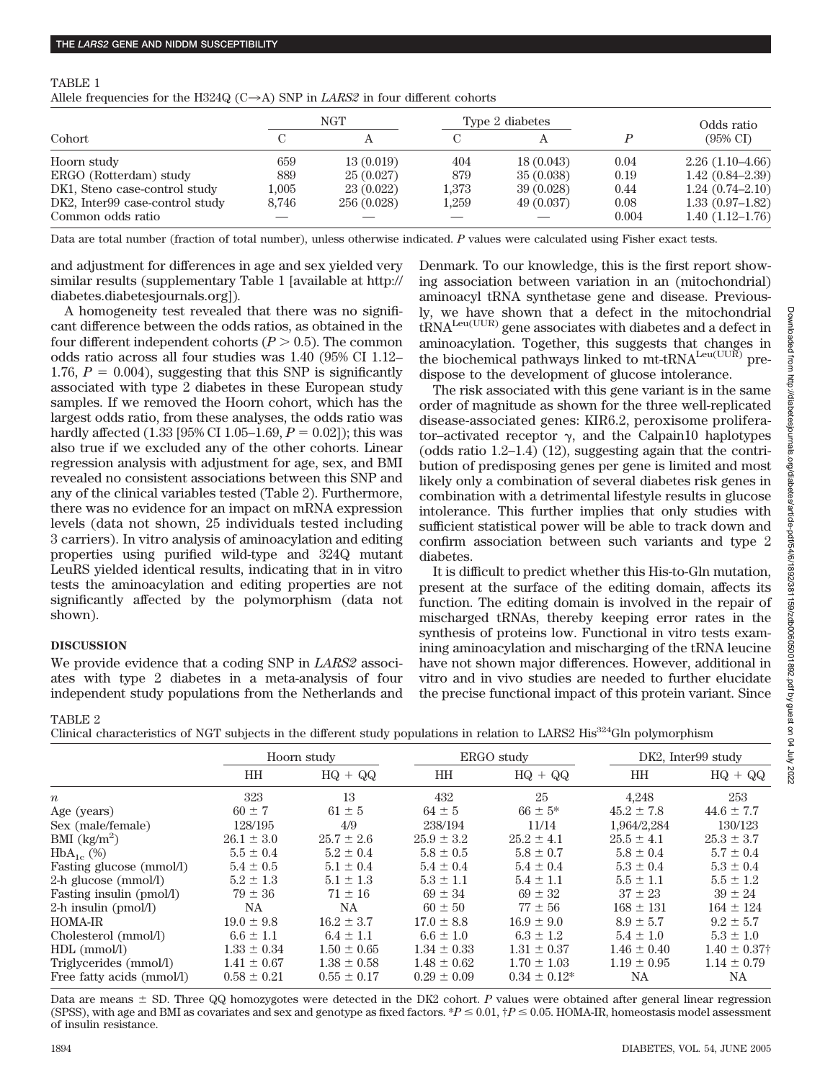#### TABLE 1

Allele frequencies for the H324Q ( $C \rightarrow A$ ) SNP in *LARS2* in four different cohorts

| Cohort                          | <b>NGT</b> |             | Type 2 diabetes |            |       | Odds ratio          |
|---------------------------------|------------|-------------|-----------------|------------|-------|---------------------|
|                                 |            |             |                 |            |       | $(95\% \text{ CI})$ |
| Hoorn study                     | 659        | 13(0.019)   | 404             | 18(0.043)  | 0.04  | $2.26(1.10-4.66)$   |
| ERGO (Rotterdam) study          | 889        | 25(0.027)   | 879             | 35(0.038)  | 0.19  | $1.42(0.84 - 2.39)$ |
| DK1, Steno case-control study   | $1.005\,$  | 23(0.022)   | 1.373           | 39 (0.028) | 0.44  | $1.24(0.74 - 2.10)$ |
| DK2, Inter99 case-control study | 8.746      | 256 (0.028) | 1,259           | 49 (0.037) | 0.08  | $1.33(0.97-1.82)$   |
| Common odds ratio               |            |             |                 |            | 0.004 | $1.40(1.12 - 1.76)$ |

Data are total number (fraction of total number), unless otherwise indicated. *P* values were calculated using Fisher exact tests.

and adjustment for differences in age and sex yielded very similar results (supplementary Table 1 [available at http:// diabetes.diabetesjournals.org])*.*

A homogeneity test revealed that there was no significant difference between the odds ratios, as obtained in the four different independent cohorts  $(P > 0.5)$ . The common odds ratio across all four studies was 1.40 (95% CI 1.12– 1.76,  $P = 0.004$ ), suggesting that this SNP is significantly associated with type 2 diabetes in these European study samples. If we removed the Hoorn cohort, which has the largest odds ratio, from these analyses, the odds ratio was hardly affected  $(1.33 \, [95\% \, CI \, 1.05-1.69, P = 0.02])$ ; this was also true if we excluded any of the other cohorts. Linear regression analysis with adjustment for age, sex, and BMI revealed no consistent associations between this SNP and any of the clinical variables tested (Table 2). Furthermore, there was no evidence for an impact on mRNA expression levels (data not shown, 25 individuals tested including 3 carriers). In vitro analysis of aminoacylation and editing properties using purified wild-type and 324Q mutant LeuRS yielded identical results, indicating that in in vitro tests the aminoacylation and editing properties are not significantly affected by the polymorphism (data not shown).

### **DISCUSSION**

We provide evidence that a coding SNP in *LARS2* associates with type 2 diabetes in a meta-analysis of four independent study populations from the Netherlands and Denmark. To our knowledge, this is the first report showing association between variation in an (mitochondrial) aminoacyl tRNA synthetase gene and disease. Previously, we have shown that a defect in the mitochondrial  $t\text{RNA}^{\text{Leu(UUR)}}$  gene associates with diabetes and a defect in aminoacylation. Together, this suggests that changes in the biochemical pathways linked to mt-tRNA<sup>Leu(UUR)</sup> predispose to the development of glucose intolerance.

The risk associated with this gene variant is in the same order of magnitude as shown for the three well-replicated disease-associated genes: KIR6.2, peroxisome proliferator–activated receptor  $\gamma$ , and the Calpain10 haplotypes (odds ratio 1.2–1.4) (12), suggesting again that the contribution of predisposing genes per gene is limited and most likely only a combination of several diabetes risk genes in combination with a detrimental lifestyle results in glucose intolerance. This further implies that only studies with sufficient statistical power will be able to track down and confirm association between such variants and type 2 diabetes.

It is difficult to predict whether this His-to-Gln mutation, present at the surface of the editing domain, affects its function. The editing domain is involved in the repair of mischarged tRNAs, thereby keeping error rates in the synthesis of proteins low. Functional in vitro tests examining aminoacylation and mischarging of the tRNA leucine have not shown major differences. However, additional in vitro and in vivo studies are needed to further elucidate the precise functional impact of this protein variant. Since

#### TABLE 2

Clinical characteristics of NGT subjects in the different study populations in relation to LARS2 His<sup>324</sup>Gln polymorphism

|                                    | онном снагаетельно от гот важдесь не антиститела, роранают неталоте о татал на сопернотривне |                 |                 |                   |                    |                         |  |
|------------------------------------|----------------------------------------------------------------------------------------------|-----------------|-----------------|-------------------|--------------------|-------------------------|--|
|                                    | Hoorn study                                                                                  |                 | ERGO study      |                   | DK2, Inter99 study |                         |  |
|                                    | HH                                                                                           | $HQ + QQ$       | HH              | $HQ + QQ$         | HH                 | $HQ + QQ$               |  |
| $\boldsymbol{n}$                   | 323                                                                                          | 13              | 432             | 25                | 4,248              | 253                     |  |
| Age (years)                        | $60 \pm 7$                                                                                   | $61 \pm 5$      | $64 \pm 5$      | $66 \pm 5^*$      | $45.2 \pm 7.8$     | $44.6 \pm 7.7$          |  |
| Sex (male/female)                  | 128/195                                                                                      | 4/9             | 238/194         | 11/14             | 1,964/2,284        | 130/123                 |  |
| BMI $\frac{\text{kg}}{\text{m}^2}$ | $26.1 \pm 3.0$                                                                               | $25.7 \pm 2.6$  | $25.9 \pm 3.2$  | $25.2 \pm 4.1$    | $25.5 \pm 4.1$     | $25.3 \pm 3.7$          |  |
| $HbA_{1c}$ (%)                     | $5.5 \pm 0.4$                                                                                | $5.2 \pm 0.4$   | $5.8 \pm 0.5$   | $5.8 \pm 0.7$     | $5.8 \pm 0.4$      | $5.7 \pm 0.4$           |  |
| Fasting glucose (mmol/l)           | $5.4 \pm 0.5$                                                                                | $5.1 \pm 0.4$   | $5.4 \pm 0.4$   | $5.4 \pm 0.4$     | $5.3 \pm 0.4$      | $5.3 \pm 0.4$           |  |
| 2-h glucose (mmol/l)               | $5.2 \pm 1.3$                                                                                | $5.1 \pm 1.3$   | $5.3 \pm 1.1$   | $5.4 \pm 1.1$     | $5.5 \pm 1.1$      | $5.5 \pm 1.2$           |  |
| Fasting insulin (pmol/l)           | $79 \pm 36$                                                                                  | $71 \pm 16$     | $69 \pm 34$     | $69 \pm 32$       | $37 \pm 23$        | $39 \pm 24$             |  |
| 2-h insulin (pmol/l)               | NA.                                                                                          | NA.             | $60 \pm 50$     | $77 \pm 56$       | $168 \pm 131$      | $164 \pm 124$           |  |
| HOMA-IR                            | $19.0 \pm 9.8$                                                                               | $16.2 \pm 3.7$  | $17.0 \pm 8.8$  | $16.9 \pm 9.0$    | $8.9 \pm 5.7$      | $9.2 \pm 5.7$           |  |
| Cholesterol (mmol/l)               | $6.6 \pm 1.1$                                                                                | $6.4 \pm 1.1$   | $6.6 \pm 1.0$   | $6.3 \pm 1.2$     | $5.4 \pm 1.0$      | $5.3 \pm 1.0$           |  |
| $HDL$ (mmol/l)                     | $1.33 \pm 0.34$                                                                              | $1.50 \pm 0.65$ | $1.34 \pm 0.33$ | $1.31 \pm 0.37$   | $1.46 \pm 0.40$    | $1.40 \pm 0.37^{\circ}$ |  |
| Triglycerides (mmol/l)             | $1.41 \pm 0.67$                                                                              | $1.38 \pm 0.58$ | $1.48 \pm 0.62$ | $1.70 \pm 1.03$   | $1.19 \pm 0.95$    | $1.14 \pm 0.79$         |  |
| Free fatty acids (mmol/l)          | $0.58 \pm 0.21$                                                                              | $0.55 \pm 0.17$ | $0.29 \pm 0.09$ | $0.34 \pm 0.12^*$ | NA                 | NA                      |  |

Data are means  $\pm$  SD. Three QQ homozygotes were detected in the DK2 cohort. *P* values were obtained after general linear regression (SPSS), with age and BMI as covariates and sex and genotype as fixed factors.  $*P \le 0.01$ ,  $\uparrow P \le 0.05$ . HOMA-IR, homeostasis model assessment of insulin resistance.